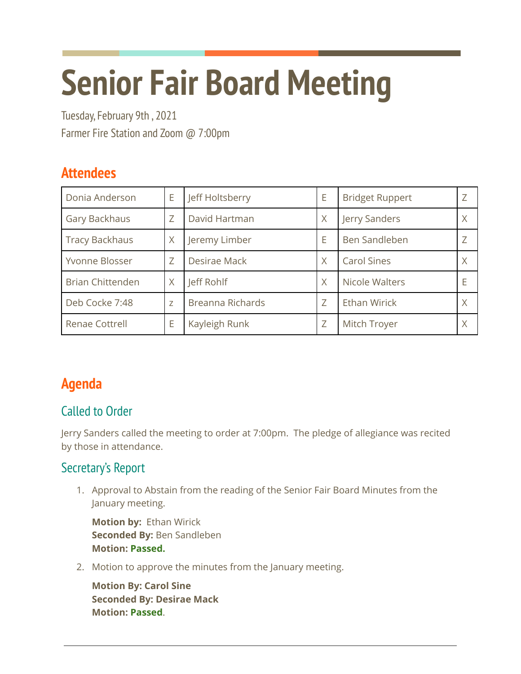# **Senior Fair Board Meeting**

Tuesday, February 9th , 2021 Farmer Fire Station and Zoom @ 7:00pm

# **Attendees**

| Donia Anderson          | E | Jeff Holtsberry  | E | <b>Bridget Ruppert</b> |   |
|-------------------------|---|------------------|---|------------------------|---|
| Gary Backhaus           | Ζ | David Hartman    | X | Jerry Sanders          | Χ |
| <b>Tracy Backhaus</b>   | X | Jeremy Limber    | E | Ben Sandleben          |   |
| Yvonne Blosser          | Z | Desirae Mack     | X | <b>Carol Sines</b>     | Χ |
| <b>Brian Chittenden</b> | X | Jeff Rohlf       | X | Nicole Walters         |   |
| Deb Cocke 7:48          | Z | Breanna Richards | Z | <b>Ethan Wirick</b>    |   |
| Renae Cottrell          | E | Kayleigh Runk    | Z | Mitch Troyer           | Χ |

# **Agenda**

# Called to Order

Jerry Sanders called the meeting to order at 7:00pm. The pledge of allegiance was recited by those in attendance.

# Secretary's Report

1. Approval to Abstain from the reading of the Senior Fair Board Minutes from the January meeting.

**Motion by:** Ethan Wirick **Seconded By:** Ben Sandleben **Motion: Passed.**

2. Motion to approve the minutes from the January meeting.

**Motion By: Carol Sine Seconded By: Desirae Mack Motion: Passed**.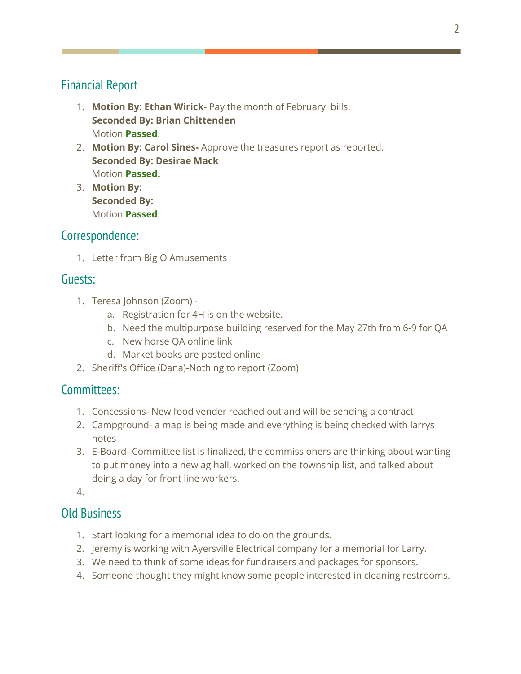#### Financial Report

- 1. **Motion By: Ethan Wirick-** Pay the month of February bills. **Seconded By: Brian Chittenden** Motion **Passed**.
- 2. **Motion By: Carol Sines-** Approve the treasures report as reported. **Seconded By: Desirae Mack** Motion **Passed.**
- 3. **Motion By: Seconded By:** Motion **Passed**.

#### Correspondence:

1. Letter from Big O Amusements

#### Guests:

- 1. Teresa Johnson (Zoom)
	- a. Registration for 4H is on the website.
	- b. Need the multipurpose building reserved for the May 27th from 6-9 for QA
	- c. New horse QA online link
	- d. Market books are posted online
- 2. Sheriff's Office (Dana)-Nothing to report (Zoom)

#### Committees:

- 1. Concessions- New food vender reached out and will be sending a contract
- 2. Campground- a map is being made and everything is being checked with larrys notes
- 3. E-Board- Committee list is finalized, the commissioners are thinking about wanting to put money into a new ag hall, worked on the township list, and talked about doing a day for front line workers.

4.

#### Old Business

- 1. Start looking for a memorial idea to do on the grounds.
- 2. Jeremy is working with Ayersville Electrical company for a memorial for Larry.
- 3. We need to think of some ideas for fundraisers and packages for sponsors.
- 4. Someone thought they might know some people interested in cleaning restrooms.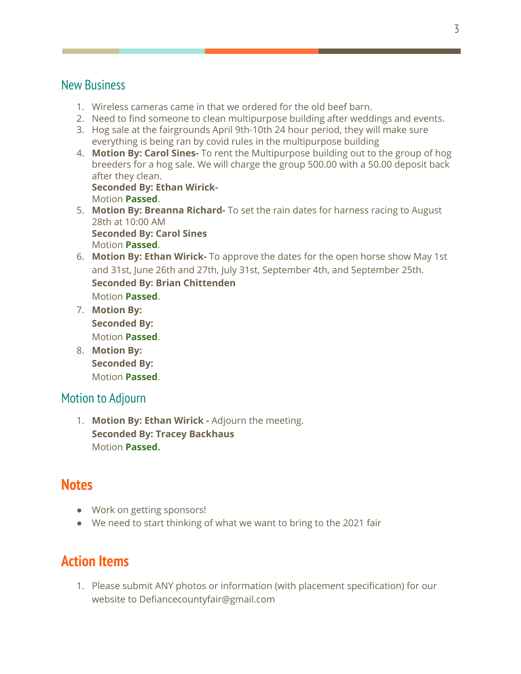#### New Business

- 1. Wireless cameras came in that we ordered for the old beef barn.
- 2. Need to find someone to clean multipurpose building after weddings and events.
- 3. Hog sale at the fairgrounds April 9th-10th 24 hour period, they will make sure everything is being ran by covid rules in the multipurpose building
- 4. **Motion By: Carol Sines-** To rent the Multipurpose building out to the group of hog breeders for a hog sale. We will charge the group 500.00 with a 50.00 deposit back after they clean. **Seconded By: Ethan Wirick-**

Motion **Passed**.

- 5. **Motion By: Breanna Richard-** To set the rain dates for harness racing to August 28th at 10:00 AM **Seconded By: Carol Sines** Motion **Passed**.
- 6. **Motion By: Ethan Wirick-** To approve the dates for the open horse show May 1st and 31st, June 26th and 27th, July 31st, September 4th, and September 25th. **Seconded By: Brian Chittenden** Motion **Passed**.
- 7. **Motion By: Seconded By:** Motion **Passed**.
- 8. **Motion By: Seconded By:** Motion **Passed**.

#### Motion to Adjourn

1. **Motion By: Ethan Wirick -** Adjourn the meeting. **Seconded By: Tracey Backhaus** Motion **Passed.**

# **Notes**

- Work on getting sponsors!
- We need to start thinking of what we want to bring to the 2021 fair

# **Action Items**

1. Please submit ANY photos or information (with placement specification) for our website to Defiancecountyfair@gmail.com